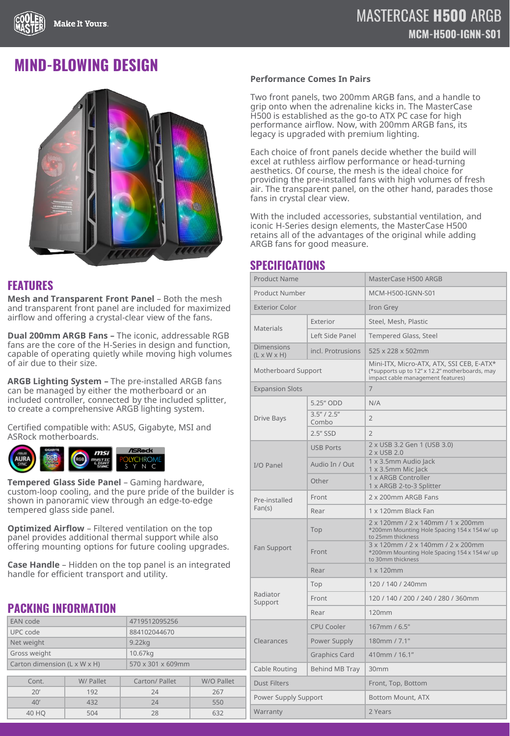## **MIND-BLOWING DESIGN**



### **FEATURES**

**Mesh and Transparent Front Panel - Both the mesh** and transparent front panel are included for maximized airflow and offering a crystal-clear view of the fans.

**Dual 200mm ARGB Fans –** The iconic, addressable RGB fans are the core of the H-Series in design and function, capable of operating quietly while moving high volumes of air due to their size.

**ARGB Lighting System –** The pre-installed ARGB fans can be managed by either the motherboard or an included controller, connected by the included splitter, to create a comprehensive ARGB lighting system.

Certified compatible with: ASUS, Gigabyte, MSI and ASRock motherboards.



**Tempered Glass Side Panel** – Gaming hardware, custom-loop cooling, and the pure pride of the builder is shown in panoramic view through an edge-to-edge tempered glass side panel.

**Optimized Airflow** – Filtered ventilation on the top panel provides additional thermal support while also offering mounting options for future cooling upgrades.

**Case Handle** – Hidden on the top panel is an integrated handle for efficient transport and utility.

## **PACKING INFORMATION**

| EAN code                     |           | 4719512095256     |            |
|------------------------------|-----------|-------------------|------------|
| UPC code                     |           | 884102044670      |            |
| Net weight                   |           | $9.22$ $kg$       |            |
| Gross weight                 |           | 10.67kg           |            |
| Carton dimension (L x W x H) |           | 570 x 301 x 609mm |            |
|                              |           |                   |            |
| Cont.                        | W/ Pallet | Carton/ Pallet    | W/O Pallet |
| 20'                          | 192       | 24                | 267        |
| 40'                          | 432       | 24                | 550        |
| 40 HQ                        | 504       | 28                | 632        |

#### **Performance Comes In Pairs**

Two front panels, two 200mm ARGB fans, and a handle to grip onto when the adrenaline kicks in. The MasterCase H500 is established as the go-to ATX PC case for high performance airflow. Now, with 200mm ARGB fans, its legacy is upgraded with premium lighting.

Each choice of front panels decide whether the build will excel at ruthless airflow performance or head-turning aesthetics. Of course, the mesh is the ideal choice for providing the pre-installed fans with high volumes of fresh air. The transparent panel, on the other hand, parades those fans in crystal clear view.

With the included accessories, substantial ventilation, and iconic H-Series design elements, the MasterCase H500 retains all of the advantages of the original while adding ARGB fans for good measure.

### **SPECIFICATIONS**

| <b>Product Name</b>                          |                       | MasterCase H500 ARGB                                                                                                             |  |
|----------------------------------------------|-----------------------|----------------------------------------------------------------------------------------------------------------------------------|--|
| <b>Product Number</b>                        |                       | MCM-H500-IGNN-S01                                                                                                                |  |
| <b>Exterior Color</b>                        |                       | Iron Grey                                                                                                                        |  |
| <b>Materials</b>                             | Exterior              | Steel, Mesh, Plastic                                                                                                             |  |
|                                              | Left Side Panel       | Tempered Glass, Steel                                                                                                            |  |
| <b>Dimensions</b><br>$(L \times W \times H)$ | incl. Protrusions     | 525 x 228 x 502mm                                                                                                                |  |
| Motherboard Support                          |                       | Mini-ITX, Micro-ATX, ATX, SSI CEB, E-ATX*<br>(*supports up to 12" x 12.2" motherboards, may<br>impact cable management features) |  |
| <b>Expansion Slots</b>                       |                       | 7                                                                                                                                |  |
| Drive Bays                                   | 5.25" ODD             | N/A                                                                                                                              |  |
|                                              | 3.5''/2.5''<br>Combo  | $\overline{2}$                                                                                                                   |  |
|                                              | $2.5''$ SSD           | $\overline{2}$                                                                                                                   |  |
| I/O Panel                                    | <b>USB Ports</b>      | 2 x USB 3.2 Gen 1 (USB 3.0)<br>2 x USB 2.0                                                                                       |  |
|                                              | Audio In / Out        | 1 x 3.5mm Audio Jack<br>1 x 3.5mm Mic Jack                                                                                       |  |
|                                              | Other                 | 1 x ARGB Controller<br>1 x ARGB 2-to-3 Splitter                                                                                  |  |
| Pre-installed<br>Fan(s)                      | Front                 | 2 x 200mm ARGB Fans                                                                                                              |  |
|                                              | Rear                  | 1 x 120mm Black Fan                                                                                                              |  |
| Fan Support                                  | Top                   | 2 x 120mm / 2 x 140mm / 1 x 200mm<br>*200mm Mounting Hole Spacing 154 x 154 w/ up<br>to 25mm thickness                           |  |
|                                              | Front                 | 3 x 120mm / 2 x 140mm / 2 x 200mm<br>*200mm Mounting Hole Spacing 154 x 154 w/ up<br>to 30mm thickness                           |  |
|                                              | Rear                  | 1 x 120mm                                                                                                                        |  |
| Radiator<br>Support                          | Top                   | 120 / 140 / 240mm                                                                                                                |  |
|                                              | Front                 | 120 / 140 / 200 / 240 / 280 / 360mm                                                                                              |  |
|                                              | Rear                  | 120mm                                                                                                                            |  |
| Clearances                                   | <b>CPU Cooler</b>     | 167mm / 6.5"                                                                                                                     |  |
|                                              | Power Supply          | 180mm / 7.1"                                                                                                                     |  |
|                                              | <b>Graphics Card</b>  | 410mm / 16.1"                                                                                                                    |  |
| Cable Routing                                | <b>Behind MB Tray</b> | 30 <sub>mm</sub>                                                                                                                 |  |
| <b>Dust Filters</b>                          |                       | Front, Top, Bottom                                                                                                               |  |
| Power Supply Support                         |                       | Bottom Mount, ATX                                                                                                                |  |
| Warranty                                     |                       | 2 Years                                                                                                                          |  |
|                                              |                       |                                                                                                                                  |  |